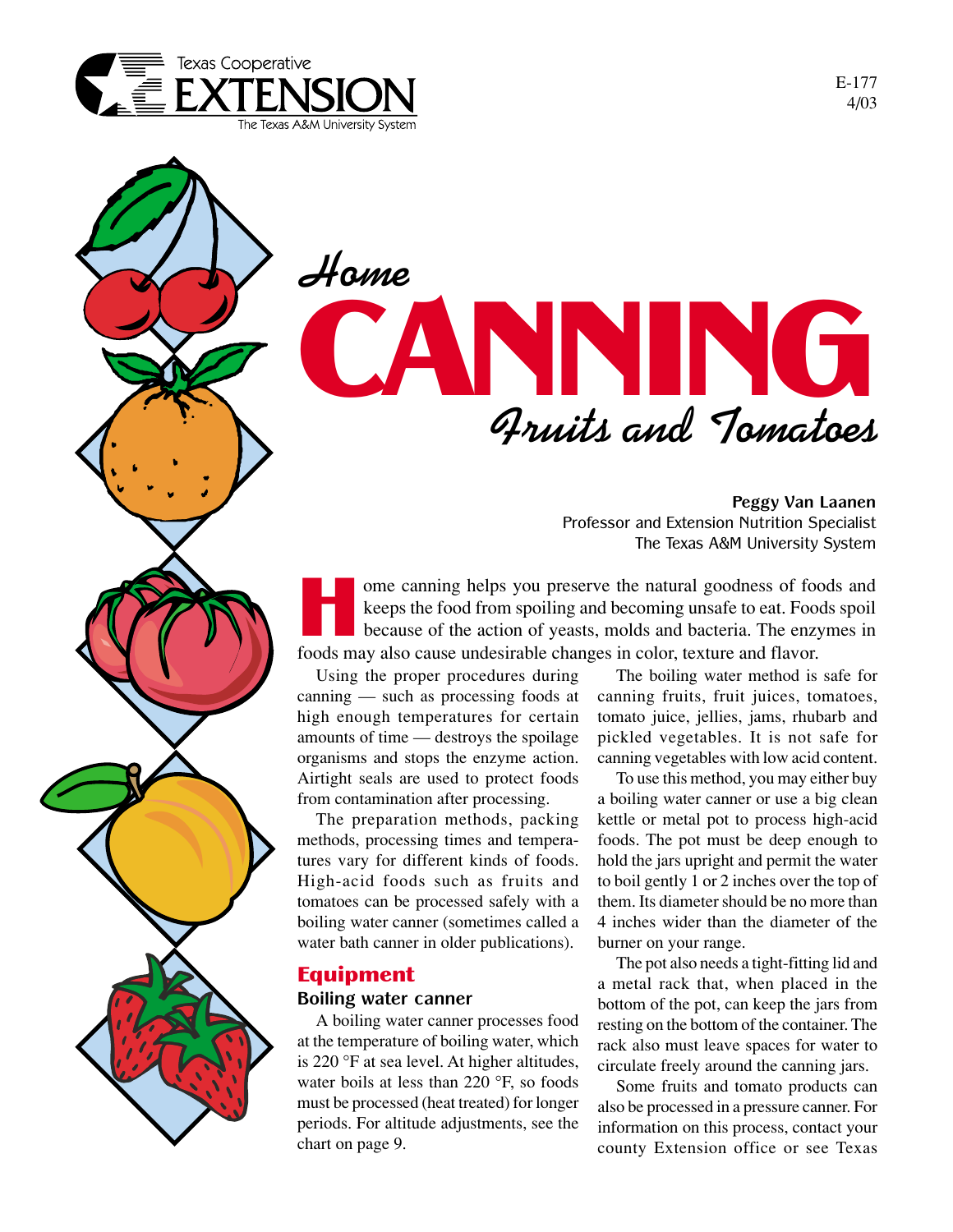

# **Home** CANNING **Fruits and Tomatoes**

**Peggy Van Laanen** Professor and Extension Nutrition Specialist The Texas A&M University System

ome canning helps you preserve the natural goodness of foods and keeps the food from spoiling and becoming unsafe to eat. Foods spoil because of the action of yeasts, molds and bacteria. The enzymes in foods may also cause undesirable changes in color, texture and flavor.

Using the proper procedures during canning — such as processing foods at high enough temperatures for certain amounts of time — destroys the spoilage organisms and stops the enzyme action. Airtight seals are used to protect foods from contamination after processing.

The preparation methods, packing methods, processing times and temperatures vary for different kinds of foods. High-acid foods such as fruits and tomatoes can be processed safely with a boiling water canner (sometimes called a water bath canner in older publications).

# Equipment

## **Boiling water canner**

A boiling water canner processes food at the temperature of boiling water, which is 220 °F at sea level. At higher altitudes, water boils at less than 220 °F, so foods must be processed (heat treated) for longer periods. For altitude adjustments, see the chart on page 9.

The boiling water method is safe for canning fruits, fruit juices, tomatoes, tomato juice, jellies, jams, rhubarb and pickled vegetables. It is not safe for canning vegetables with low acid content.

To use this method, you may either buy a boiling water canner or use a big clean kettle or metal pot to process high-acid foods. The pot must be deep enough to hold the jars upright and permit the water to boil gently 1 or 2 inches over the top of them. Its diameter should be no more than 4 inches wider than the diameter of the burner on your range.

The pot also needs a tight-fitting lid and a metal rack that, when placed in the bottom of the pot, can keep the jars from resting on the bottom of the container. The rack also must leave spaces for water to circulate freely around the canning jars.

Some fruits and tomato products can also be processed in a pressure canner. For information on this process, contact your county Extension office or see Texas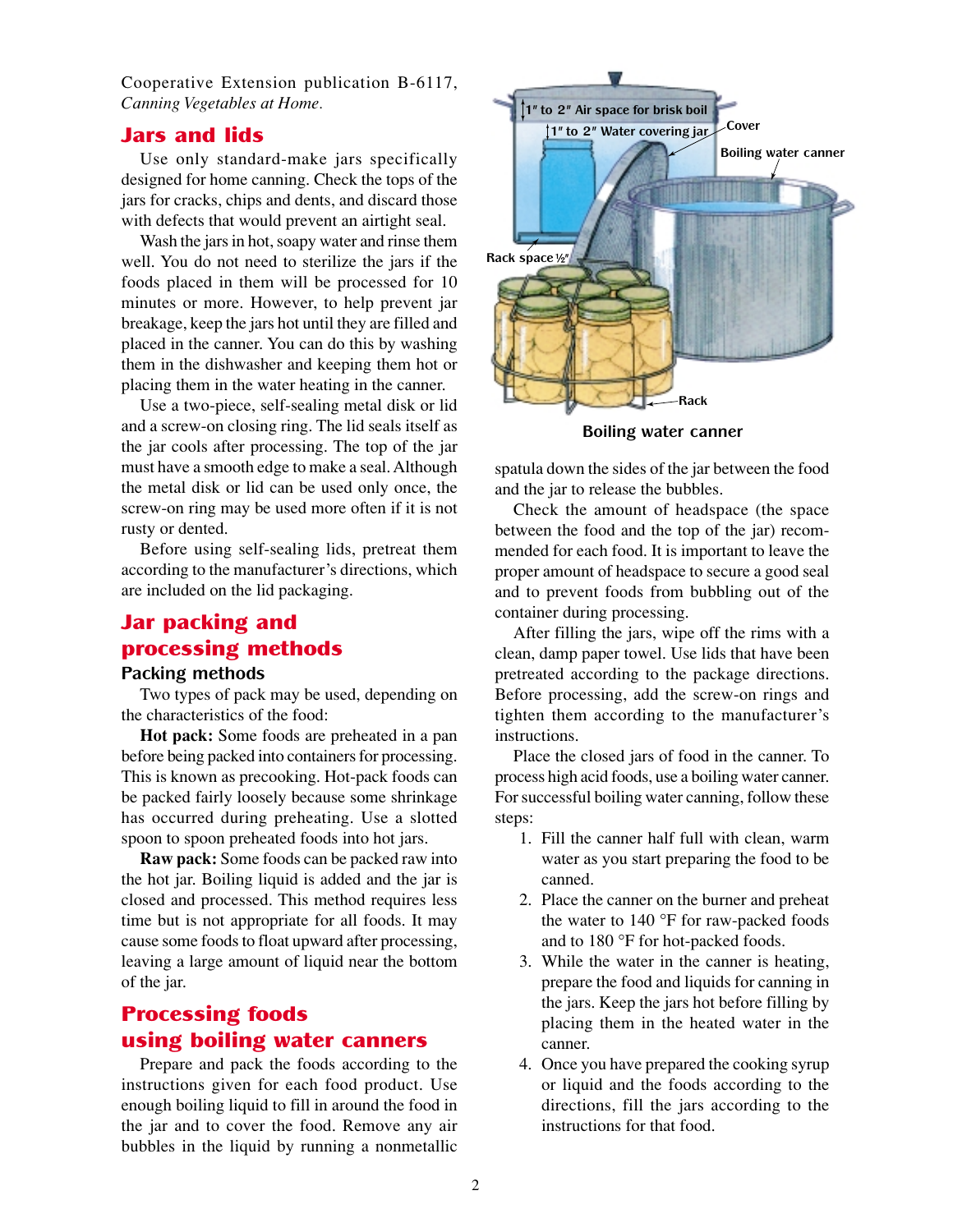Cooperative Extension publication B-6117, *Canning Vegetables at Home.*

#### Jars and lids

Use only standard-make jars specifically designed for home canning. Check the tops of the jars for cracks, chips and dents, and discard those with defects that would prevent an airtight seal.

Wash the jars in hot, soapy water and rinse them well. You do not need to sterilize the jars if the foods placed in them will be processed for 10 minutes or more. However, to help prevent jar breakage, keep the jars hot until they are filled and placed in the canner. You can do this by washing them in the dishwasher and keeping them hot or placing them in the water heating in the canner.

Use a two-piece, self-sealing metal disk or lid and a screw-on closing ring. The lid seals itself as the jar cools after processing. The top of the jar must have a smooth edge to make a seal. Although the metal disk or lid can be used only once, the screw-on ring may be used more often if it is not rusty or dented.

Before using self-sealing lids, pretreat them according to the manufacturer's directions, which are included on the lid packaging.

## Jar packing and processing methods

#### **Packing methods**

Two types of pack may be used, depending on the characteristics of the food:

**Hot pack:** Some foods are preheated in a pan before being packed into containers for processing. This is known as precooking. Hot-pack foods can be packed fairly loosely because some shrinkage has occurred during preheating. Use a slotted spoon to spoon preheated foods into hot jars.

**Raw pack:** Some foods can be packed raw into the hot jar. Boiling liquid is added and the jar is closed and processed. This method requires less time but is not appropriate for all foods. It may cause some foods to float upward after processing, leaving a large amount of liquid near the bottom of the jar.

## Processing foods using boiling water canners

Prepare and pack the foods according to the instructions given for each food product. Use enough boiling liquid to fill in around the food in the jar and to cover the food. Remove any air bubbles in the liquid by running a nonmetallic



**Boiling water canner**

spatula down the sides of the jar between the food and the jar to release the bubbles.

Check the amount of headspace (the space between the food and the top of the jar) recommended for each food. It is important to leave the proper amount of headspace to secure a good seal and to prevent foods from bubbling out of the container during processing.

After filling the jars, wipe off the rims with a clean, damp paper towel. Use lids that have been pretreated according to the package directions. Before processing, add the screw-on rings and tighten them according to the manufacturer's instructions.

Place the closed jars of food in the canner. To process high acid foods, use a boiling water canner. For successful boiling water canning, follow these steps:

- 1. Fill the canner half full with clean, warm water as you start preparing the food to be canned.
- 2. Place the canner on the burner and preheat the water to 140 °F for raw-packed foods and to 180 °F for hot-packed foods.
- 3. While the water in the canner is heating, prepare the food and liquids for canning in the jars. Keep the jars hot before filling by placing them in the heated water in the canner.
- 4. Once you have prepared the cooking syrup or liquid and the foods according to the directions, fill the jars according to the instructions for that food.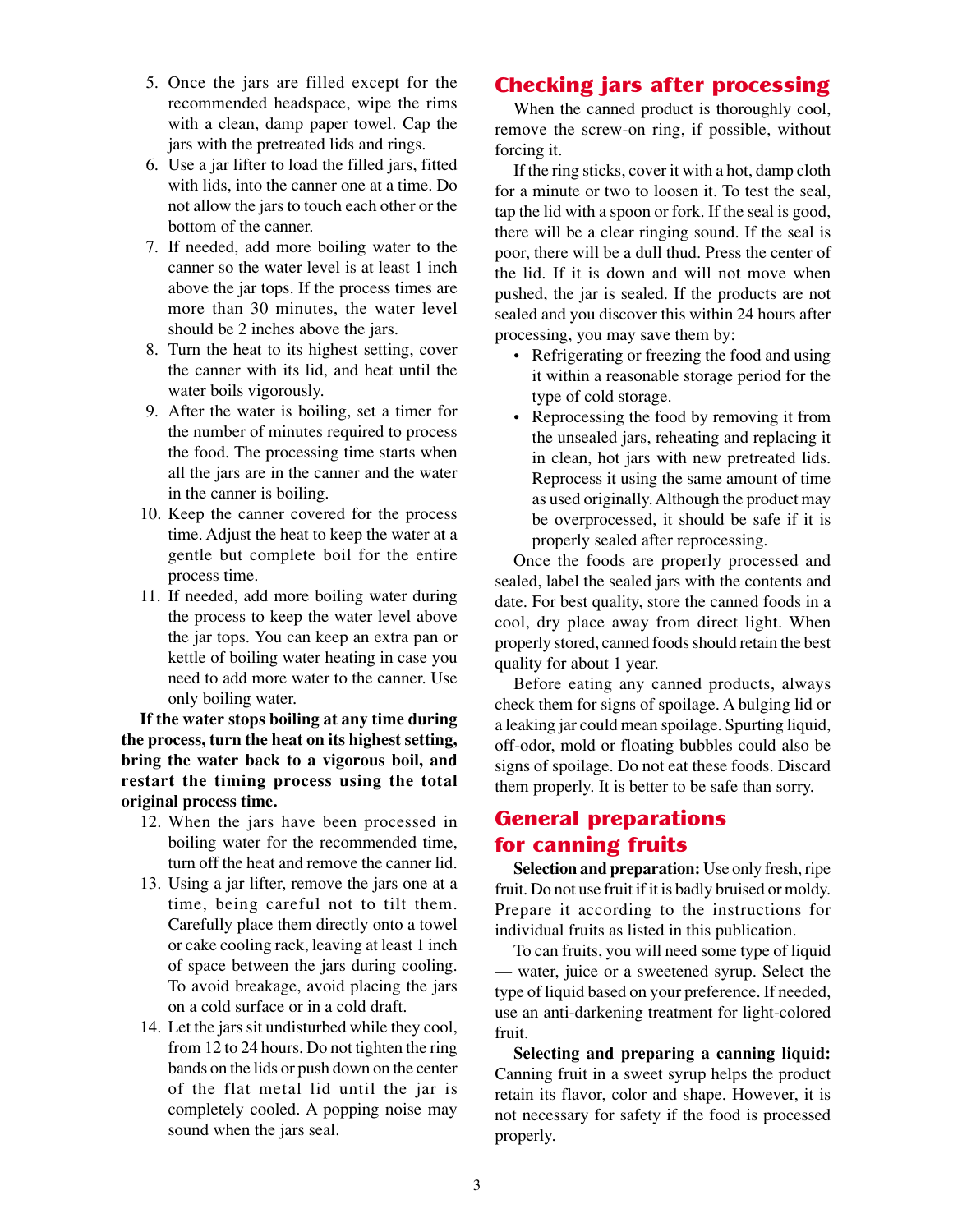- 5. Once the jars are filled except for the recommended headspace, wipe the rims with a clean, damp paper towel. Cap the jars with the pretreated lids and rings.
- 6. Use a jar lifter to load the filled jars, fitted with lids, into the canner one at a time. Do not allow the jars to touch each other or the bottom of the canner.
- 7. If needed, add more boiling water to the canner so the water level is at least 1 inch above the jar tops. If the process times are more than 30 minutes, the water level should be 2 inches above the jars.
- 8. Turn the heat to its highest setting, cover the canner with its lid, and heat until the water boils vigorously.
- 9. After the water is boiling, set a timer for the number of minutes required to process the food. The processing time starts when all the jars are in the canner and the water in the canner is boiling.
- 10. Keep the canner covered for the process time. Adjust the heat to keep the water at a gentle but complete boil for the entire process time.
- 11. If needed, add more boiling water during the process to keep the water level above the jar tops. You can keep an extra pan or kettle of boiling water heating in case you need to add more water to the canner. Use only boiling water.

**If the water stops boiling at any time during the process, turn the heat on its highest setting, bring the water back to a vigorous boil, and restart the timing process using the total original process time.**

- 12. When the jars have been processed in boiling water for the recommended time, turn off the heat and remove the canner lid.
- 13. Using a jar lifter, remove the jars one at a time, being careful not to tilt them. Carefully place them directly onto a towel or cake cooling rack, leaving at least 1 inch of space between the jars during cooling. To avoid breakage, avoid placing the jars on a cold surface or in a cold draft.
- 14. Let the jars sit undisturbed while they cool, from 12 to 24 hours. Do not tighten the ring bands on the lids or push down on the center of the flat metal lid until the jar is completely cooled. A popping noise may sound when the jars seal.

# **Checking jars after processing**

When the canned product is thoroughly cool, remove the screw-on ring, if possible, without forcing it.

If the ring sticks, cover it with a hot, damp cloth for a minute or two to loosen it. To test the seal, tap the lid with a spoon or fork. If the seal is good, there will be a clear ringing sound. If the seal is poor, there will be a dull thud. Press the center of the lid. If it is down and will not move when pushed, the jar is sealed. If the products are not sealed and you discover this within 24 hours after processing, you may save them by:

- Refrigerating or freezing the food and using it within a reasonable storage period for the type of cold storage.
- Reprocessing the food by removing it from the unsealed jars, reheating and replacing it in clean, hot jars with new pretreated lids. Reprocess it using the same amount of time as used originally. Although the product may be overprocessed, it should be safe if it is properly sealed after reprocessing.

Once the foods are properly processed and sealed, label the sealed jars with the contents and date. For best quality, store the canned foods in a cool, dry place away from direct light. When properly stored, canned foods should retain the best quality for about 1 year.

Before eating any canned products, always check them for signs of spoilage. A bulging lid or a leaking jar could mean spoilage. Spurting liquid, off-odor, mold or floating bubbles could also be signs of spoilage. Do not eat these foods. Discard them properly. It is better to be safe than sorry.

## General preparations for canning fruits

**Selection and preparation:** Use only fresh, ripe fruit. Do not use fruit if it is badly bruised or moldy. Prepare it according to the instructions for individual fruits as listed in this publication.

To can fruits, you will need some type of liquid — water, juice or a sweetened syrup. Select the type of liquid based on your preference. If needed, use an anti-darkening treatment for light-colored fruit.

**Selecting and preparing a canning liquid:** Canning fruit in a sweet syrup helps the product retain its flavor, color and shape. However, it is not necessary for safety if the food is processed properly.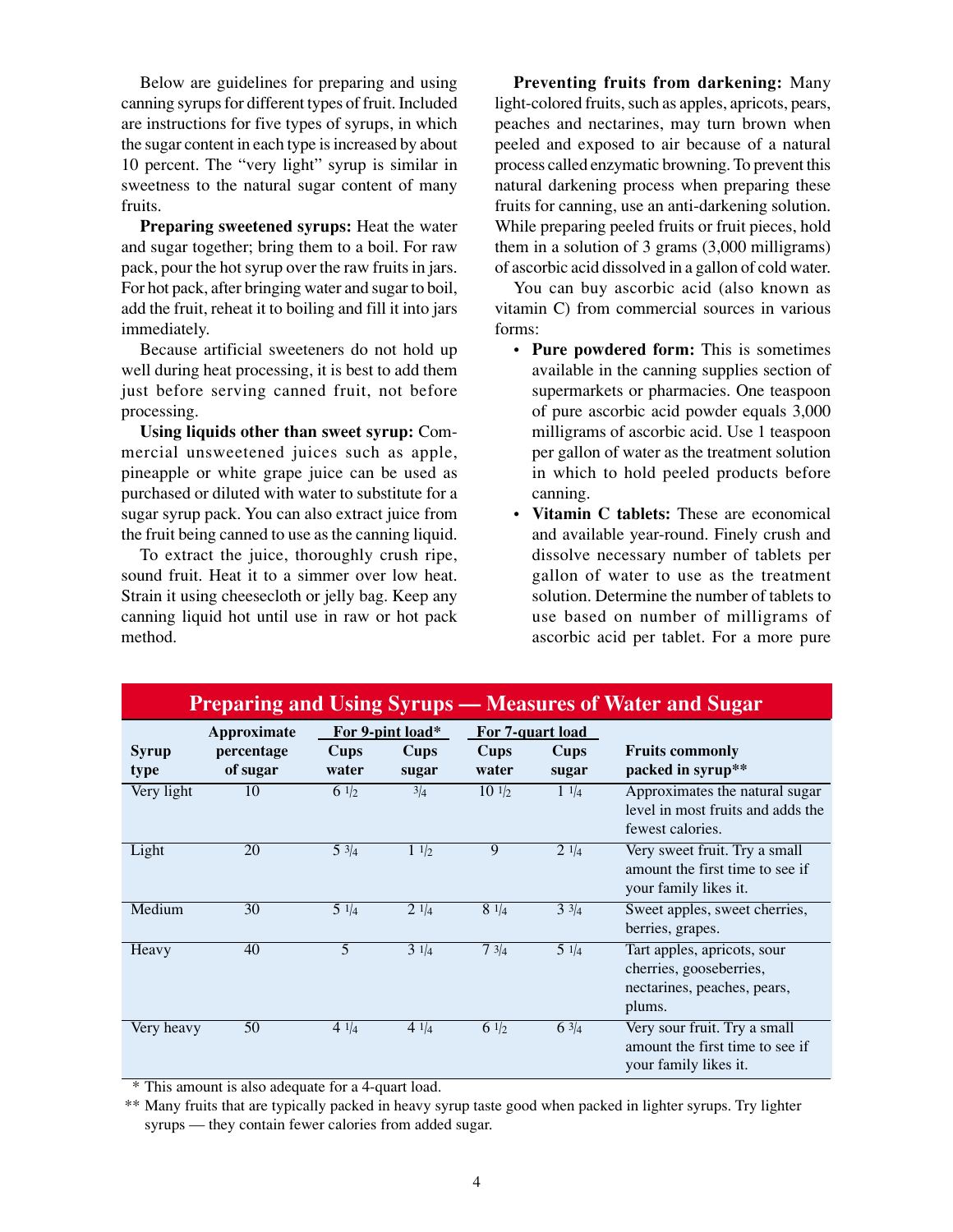Below are guidelines for preparing and using canning syrups for different types of fruit. Included are instructions for five types of syrups, in which the sugar content in each type is increased by about 10 percent. The "very light" syrup is similar in sweetness to the natural sugar content of many fruits.

**Preparing sweetened syrups:** Heat the water and sugar together; bring them to a boil. For raw pack, pour the hot syrup over the raw fruits in jars. For hot pack, after bringing water and sugar to boil, add the fruit, reheat it to boiling and fill it into jars immediately.

Because artificial sweeteners do not hold up well during heat processing, it is best to add them just before serving canned fruit, not before processing.

**Using liquids other than sweet syrup:** Commercial unsweetened juices such as apple, pineapple or white grape juice can be used as purchased or diluted with water to substitute for a sugar syrup pack. You can also extract juice from the fruit being canned to use as the canning liquid.

To extract the juice, thoroughly crush ripe, sound fruit. Heat it to a simmer over low heat. Strain it using cheesecloth or jelly bag. Keep any canning liquid hot until use in raw or hot pack method.

**Preventing fruits from darkening:** Many light-colored fruits, such as apples, apricots, pears, peaches and nectarines, may turn brown when peeled and exposed to air because of a natural process called enzymatic browning. To prevent this natural darkening process when preparing these fruits for canning, use an anti-darkening solution. While preparing peeled fruits or fruit pieces, hold them in a solution of 3 grams (3,000 milligrams) of ascorbic acid dissolved in a gallon of cold water.

You can buy ascorbic acid (also known as vitamin C) from commercial sources in various forms:

- **Pure powdered form:** This is sometimes available in the canning supplies section of supermarkets or pharmacies. One teaspoon of pure ascorbic acid powder equals 3,000 milligrams of ascorbic acid. Use 1 teaspoon per gallon of water as the treatment solution in which to hold peeled products before canning.
- **Vitamin C tablets:** These are economical and available year-round. Finely crush and dissolve necessary number of tablets per gallon of water to use as the treatment solution. Determine the number of tablets to use based on number of milligrams of ascorbic acid per tablet. For a more pure

| <b>Preparing and Using Syrups — Measures of Water and Sugar</b> |                                       |                      |                                          |                      |                                          |                                                                                                 |  |  |  |
|-----------------------------------------------------------------|---------------------------------------|----------------------|------------------------------------------|----------------------|------------------------------------------|-------------------------------------------------------------------------------------------------|--|--|--|
| Syrup<br>type                                                   | Approximate<br>percentage<br>of sugar | <b>Cups</b><br>water | For 9-pint load*<br><b>Cups</b><br>sugar | <b>Cups</b><br>water | For 7-quart load<br><b>Cups</b><br>sugar | <b>Fruits commonly</b><br>packed in syrup**                                                     |  |  |  |
| Very light                                                      | 10                                    | 6 $1/2$              | 3/4                                      | $10 \frac{1}{2}$     | $1 \frac{1}{4}$                          | Approximates the natural sugar<br>level in most fruits and adds the<br>fewest calories.         |  |  |  |
| Light                                                           | 20                                    | $5 \frac{3}{4}$      | $1 \frac{1}{2}$                          | 9                    | $2 \frac{1}{4}$                          | Very sweet fruit. Try a small<br>amount the first time to see if<br>your family likes it.       |  |  |  |
| Medium                                                          | 30                                    | $5 \frac{1}{4}$      | $2 \frac{1}{4}$                          | $8 \frac{1}{4}$      | $3 \frac{3}{4}$                          | Sweet apples, sweet cherries,<br>berries, grapes.                                               |  |  |  |
| Heavy                                                           | 40                                    | 5                    | $\frac{3}{3}$ $\frac{1}{4}$              | 73/4                 | $5 \frac{1}{4}$                          | Tart apples, apricots, sour<br>cherries, gooseberries,<br>nectarines, peaches, pears,<br>plums. |  |  |  |
| Very heavy                                                      | 50                                    | 4 $1/4$              | 4 $1/4$                                  | 6 $1/2$              | 63/4                                     | Very sour fruit. Try a small<br>amount the first time to see if<br>your family likes it.        |  |  |  |

\* This amount is also adequate for a 4-quart load.

\*\* Many fruits that are typically packed in heavy syrup taste good when packed in lighter syrups. Try lighter syrups — they contain fewer calories from added sugar.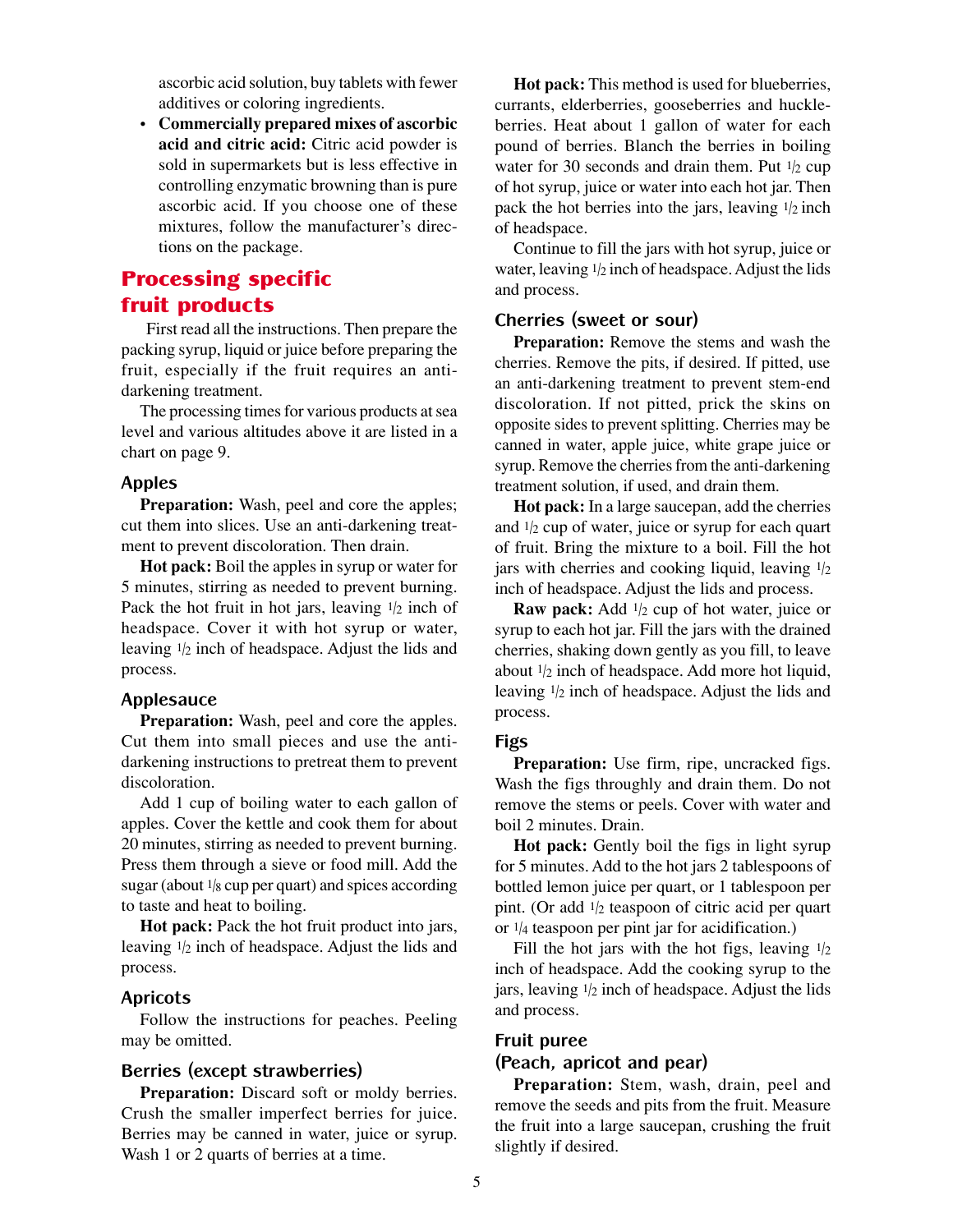ascorbic acid solution, buy tablets with fewer additives or coloring ingredients.

• **Commercially prepared mixes of ascorbic acid and citric acid:** Citric acid powder is sold in supermarkets but is less effective in controlling enzymatic browning than is pure ascorbic acid. If you choose one of these mixtures, follow the manufacturer's directions on the package.

## **Processing specific** fruit products

 First read all the instructions. Then prepare the packing syrup, liquid or juice before preparing the fruit, especially if the fruit requires an antidarkening treatment.

The processing times for various products at sea level and various altitudes above it are listed in a chart on page 9.

#### **Apples**

**Preparation:** Wash, peel and core the apples; cut them into slices. Use an anti-darkening treatment to prevent discoloration. Then drain.

**Hot pack:** Boil the apples in syrup or water for 5 minutes, stirring as needed to prevent burning. Pack the hot fruit in hot jars, leaving  $1/2$  inch of headspace. Cover it with hot syrup or water, leaving 1/2 inch of headspace. Adjust the lids and process.

#### **Applesauce**

**Preparation:** Wash, peel and core the apples. Cut them into small pieces and use the antidarkening instructions to pretreat them to prevent discoloration.

Add 1 cup of boiling water to each gallon of apples. Cover the kettle and cook them for about 20 minutes, stirring as needed to prevent burning. Press them through a sieve or food mill. Add the sugar (about  $1/8$  cup per quart) and spices according to taste and heat to boiling.

**Hot pack:** Pack the hot fruit product into jars, leaving 1/2 inch of headspace. Adjust the lids and process.

#### **Apricots**

Follow the instructions for peaches. Peeling may be omitted.

#### **Berries (except strawberries)**

**Preparation:** Discard soft or moldy berries. Crush the smaller imperfect berries for juice. Berries may be canned in water, juice or syrup. Wash 1 or 2 quarts of berries at a time.

**Hot pack:** This method is used for blueberries, currants, elderberries, gooseberries and huckleberries. Heat about 1 gallon of water for each pound of berries. Blanch the berries in boiling water for 30 seconds and drain them. Put  $1/2$  cup of hot syrup, juice or water into each hot jar. Then pack the hot berries into the jars, leaving  $1/2$  inch of headspace.

Continue to fill the jars with hot syrup, juice or water, leaving  $1/2$  inch of headspace. Adjust the lids and process.

#### **Cherries (sweet or sour)**

**Preparation:** Remove the stems and wash the cherries. Remove the pits, if desired. If pitted, use an anti-darkening treatment to prevent stem-end discoloration. If not pitted, prick the skins on opposite sides to prevent splitting. Cherries may be canned in water, apple juice, white grape juice or syrup. Remove the cherries from the anti-darkening treatment solution, if used, and drain them.

**Hot pack:** In a large saucepan, add the cherries and  $1/2$  cup of water, juice or syrup for each quart of fruit. Bring the mixture to a boil. Fill the hot jars with cherries and cooking liquid, leaving  $1/2$ inch of headspace. Adjust the lids and process.

**Raw pack:** Add  $1/2$  cup of hot water, juice or syrup to each hot jar. Fill the jars with the drained cherries, shaking down gently as you fill, to leave about 1/2 inch of headspace. Add more hot liquid, leaving 1/2 inch of headspace. Adjust the lids and process.

#### **Figs**

**Preparation:** Use firm, ripe, uncracked figs. Wash the figs throughly and drain them. Do not remove the stems or peels. Cover with water and boil 2 minutes. Drain.

**Hot pack:** Gently boil the figs in light syrup for 5 minutes. Add to the hot jars 2 tablespoons of bottled lemon juice per quart, or 1 tablespoon per pint. (Or add  $1/2$  teaspoon of citric acid per quart or 1/4 teaspoon per pint jar for acidification.)

Fill the hot jars with the hot figs, leaving  $1/2$ inch of headspace. Add the cooking syrup to the jars, leaving  $1/2$  inch of headspace. Adjust the lids and process.

#### **Fruit puree**

#### **(Peach, apricot and pear)**

**Preparation:** Stem, wash, drain, peel and remove the seeds and pits from the fruit. Measure the fruit into a large saucepan, crushing the fruit slightly if desired.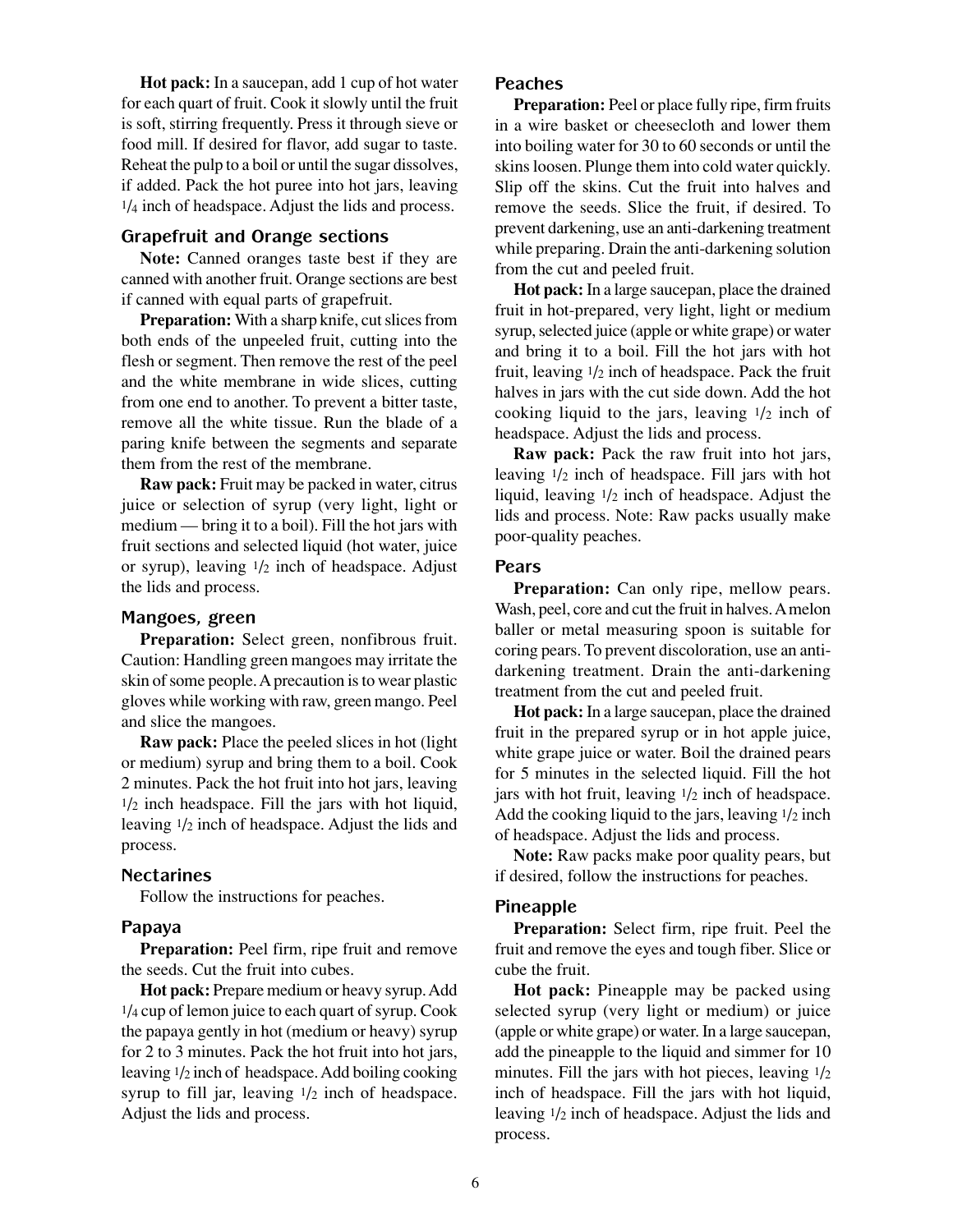**Hot pack:** In a saucepan, add 1 cup of hot water for each quart of fruit. Cook it slowly until the fruit is soft, stirring frequently. Press it through sieve or food mill. If desired for flavor, add sugar to taste. Reheat the pulp to a boil or until the sugar dissolves, if added. Pack the hot puree into hot jars, leaving 1/4 inch of headspace. Adjust the lids and process.

#### **Grapefruit and Orange sections**

**Note:** Canned oranges taste best if they are canned with another fruit. Orange sections are best if canned with equal parts of grapefruit.

**Preparation:** With a sharp knife, cut slices from both ends of the unpeeled fruit, cutting into the flesh or segment. Then remove the rest of the peel and the white membrane in wide slices, cutting from one end to another. To prevent a bitter taste, remove all the white tissue. Run the blade of a paring knife between the segments and separate them from the rest of the membrane.

**Raw pack:** Fruit may be packed in water, citrus juice or selection of syrup (very light, light or medium — bring it to a boil). Fill the hot jars with fruit sections and selected liquid (hot water, juice or syrup), leaving 1/2 inch of headspace. Adjust the lids and process.

#### **Mangoes, green**

**Preparation:** Select green, nonfibrous fruit. Caution: Handling green mangoes may irritate the skin of some people. A precaution is to wear plastic gloves while working with raw, green mango. Peel and slice the mangoes.

**Raw pack:** Place the peeled slices in hot (light or medium) syrup and bring them to a boil. Cook 2 minutes. Pack the hot fruit into hot jars, leaving  $1/2$  inch headspace. Fill the jars with hot liquid, leaving 1/2 inch of headspace. Adjust the lids and process.

#### **Nectarines**

Follow the instructions for peaches.

#### **Papaya**

**Preparation:** Peel firm, ripe fruit and remove the seeds. Cut the fruit into cubes.

**Hot pack:** Prepare medium or heavy syrup. Add 1/4 cup of lemon juice to each quart of syrup. Cook the papaya gently in hot (medium or heavy) syrup for 2 to 3 minutes. Pack the hot fruit into hot jars, leaving 1/2 inch of headspace. Add boiling cooking syrup to fill jar, leaving  $1/2$  inch of headspace. Adjust the lids and process.

#### **Peaches**

**Preparation:** Peel or place fully ripe, firm fruits in a wire basket or cheesecloth and lower them into boiling water for 30 to 60 seconds or until the skins loosen. Plunge them into cold water quickly. Slip off the skins. Cut the fruit into halves and remove the seeds. Slice the fruit, if desired. To prevent darkening, use an anti-darkening treatment while preparing. Drain the anti-darkening solution from the cut and peeled fruit.

**Hot pack:** In a large saucepan, place the drained fruit in hot-prepared, very light, light or medium syrup, selected juice (apple or white grape) or water and bring it to a boil. Fill the hot jars with hot fruit, leaving  $1/2$  inch of headspace. Pack the fruit halves in jars with the cut side down. Add the hot cooking liquid to the jars, leaving  $1/2$  inch of headspace. Adjust the lids and process.

**Raw pack:** Pack the raw fruit into hot jars, leaving 1/2 inch of headspace. Fill jars with hot liquid, leaving 1/2 inch of headspace. Adjust the lids and process. Note: Raw packs usually make poor-quality peaches.

#### **Pears**

**Preparation:** Can only ripe, mellow pears. Wash, peel, core and cut the fruit in halves. A melon baller or metal measuring spoon is suitable for coring pears. To prevent discoloration, use an antidarkening treatment. Drain the anti-darkening treatment from the cut and peeled fruit.

**Hot pack:** In a large saucepan, place the drained fruit in the prepared syrup or in hot apple juice, white grape juice or water. Boil the drained pears for 5 minutes in the selected liquid. Fill the hot jars with hot fruit, leaving  $1/2$  inch of headspace. Add the cooking liquid to the jars, leaving  $1/2$  inch of headspace. Adjust the lids and process.

**Note:** Raw packs make poor quality pears, but if desired, follow the instructions for peaches.

#### **Pineapple**

**Preparation:** Select firm, ripe fruit. Peel the fruit and remove the eyes and tough fiber. Slice or cube the fruit.

**Hot pack:** Pineapple may be packed using selected syrup (very light or medium) or juice (apple or white grape) or water. In a large saucepan, add the pineapple to the liquid and simmer for 10 minutes. Fill the jars with hot pieces, leaving  $1/2$ inch of headspace. Fill the jars with hot liquid, leaving 1/2 inch of headspace. Adjust the lids and process.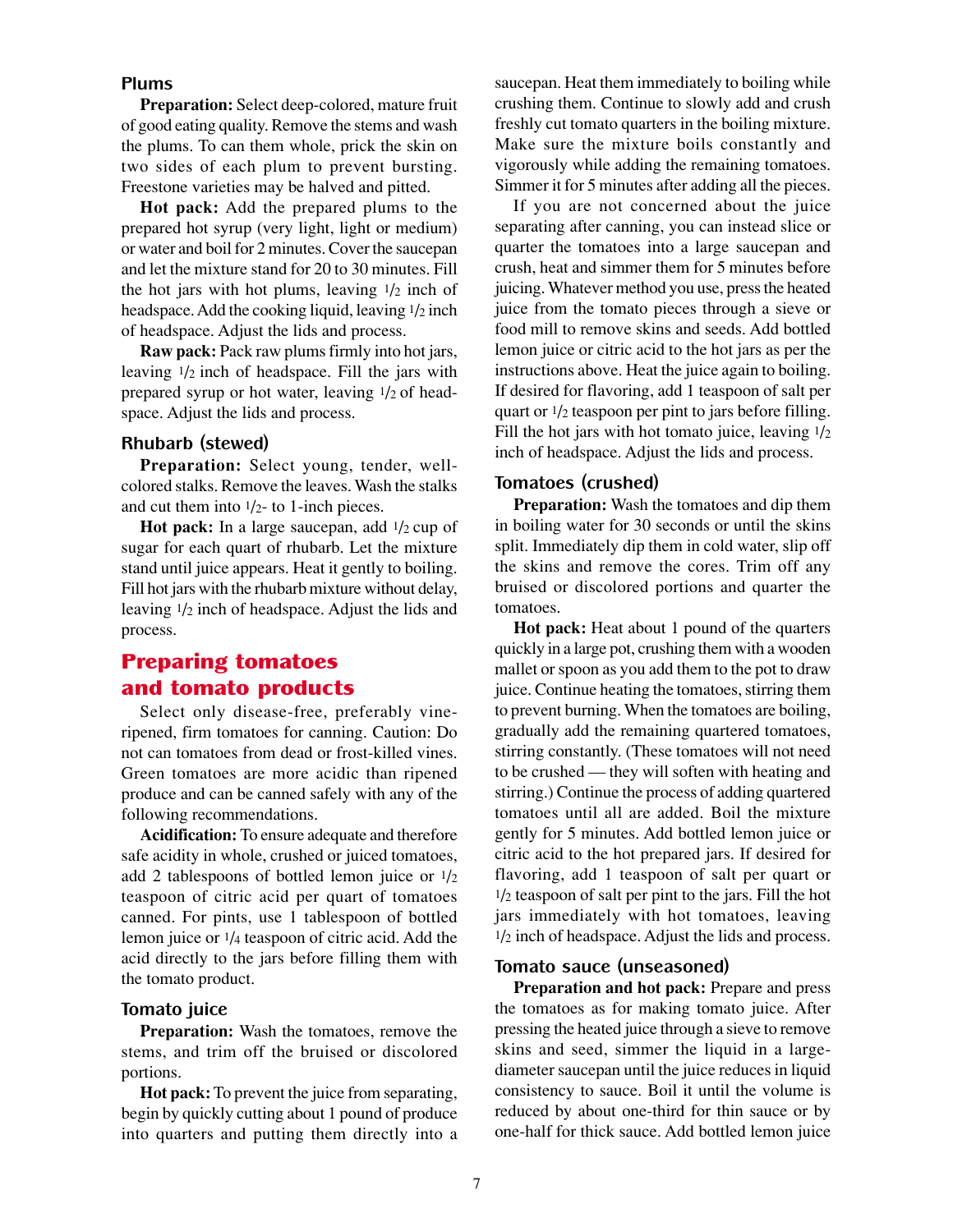#### **Plums**

**Preparation:** Select deep-colored, mature fruit of good eating quality. Remove the stems and wash the plums. To can them whole, prick the skin on two sides of each plum to prevent bursting. Freestone varieties may be halved and pitted.

**Hot pack:** Add the prepared plums to the prepared hot syrup (very light, light or medium) or water and boil for 2 minutes. Cover the saucepan and let the mixture stand for 20 to 30 minutes. Fill the hot jars with hot plums, leaving  $1/2$  inch of headspace. Add the cooking liquid, leaving 1/2 inch of headspace. Adjust the lids and process.

**Raw pack:** Pack raw plums firmly into hot jars, leaving  $1/2$  inch of headspace. Fill the jars with prepared syrup or hot water, leaving 1/2 of headspace. Adjust the lids and process.

#### **Rhubarb (stewed)**

**Preparation:** Select young, tender, wellcolored stalks. Remove the leaves. Wash the stalks and cut them into 1/2- to 1-inch pieces.

**Hot pack:** In a large saucepan, add  $1/2$  cup of sugar for each quart of rhubarb. Let the mixture stand until juice appears. Heat it gently to boiling. Fill hot jars with the rhubarb mixture without delay, leaving 1/2 inch of headspace. Adjust the lids and process.

## Preparing tomatoes and tomato products

Select only disease-free, preferably vineripened, firm tomatoes for canning. Caution: Do not can tomatoes from dead or frost-killed vines. Green tomatoes are more acidic than ripened produce and can be canned safely with any of the following recommendations.

**Acidification:** To ensure adequate and therefore safe acidity in whole, crushed or juiced tomatoes, add 2 tablespoons of bottled lemon juice or 1/2 teaspoon of citric acid per quart of tomatoes canned. For pints, use 1 tablespoon of bottled lemon juice or 1/4 teaspoon of citric acid. Add the acid directly to the jars before filling them with the tomato product.

#### **Tomato juice**

**Preparation:** Wash the tomatoes, remove the stems, and trim off the bruised or discolored portions.

**Hot pack:** To prevent the juice from separating, begin by quickly cutting about 1 pound of produce into quarters and putting them directly into a saucepan. Heat them immediately to boiling while crushing them. Continue to slowly add and crush freshly cut tomato quarters in the boiling mixture. Make sure the mixture boils constantly and vigorously while adding the remaining tomatoes. Simmer it for 5 minutes after adding all the pieces.

If you are not concerned about the juice separating after canning, you can instead slice or quarter the tomatoes into a large saucepan and crush, heat and simmer them for 5 minutes before juicing. Whatever method you use, press the heated juice from the tomato pieces through a sieve or food mill to remove skins and seeds. Add bottled lemon juice or citric acid to the hot jars as per the instructions above. Heat the juice again to boiling. If desired for flavoring, add 1 teaspoon of salt per quart or  $\frac{1}{2}$  teaspoon per pint to jars before filling. Fill the hot jars with hot tomato juice, leaving  $1/2$ inch of headspace. Adjust the lids and process.

#### **Tomatoes (crushed)**

**Preparation:** Wash the tomatoes and dip them in boiling water for 30 seconds or until the skins split. Immediately dip them in cold water, slip off the skins and remove the cores. Trim off any bruised or discolored portions and quarter the tomatoes.

**Hot pack:** Heat about 1 pound of the quarters quickly in a large pot, crushing them with a wooden mallet or spoon as you add them to the pot to draw juice. Continue heating the tomatoes, stirring them to prevent burning. When the tomatoes are boiling, gradually add the remaining quartered tomatoes, stirring constantly. (These tomatoes will not need to be crushed — they will soften with heating and stirring.) Continue the process of adding quartered tomatoes until all are added. Boil the mixture gently for 5 minutes. Add bottled lemon juice or citric acid to the hot prepared jars. If desired for flavoring, add 1 teaspoon of salt per quart or  $1/2$  teaspoon of salt per pint to the jars. Fill the hot jars immediately with hot tomatoes, leaving 1/2 inch of headspace. Adjust the lids and process.

#### **Tomato sauce (unseasoned)**

**Preparation and hot pack:** Prepare and press the tomatoes as for making tomato juice. After pressing the heated juice through a sieve to remove skins and seed, simmer the liquid in a largediameter saucepan until the juice reduces in liquid consistency to sauce. Boil it until the volume is reduced by about one-third for thin sauce or by one-half for thick sauce. Add bottled lemon juice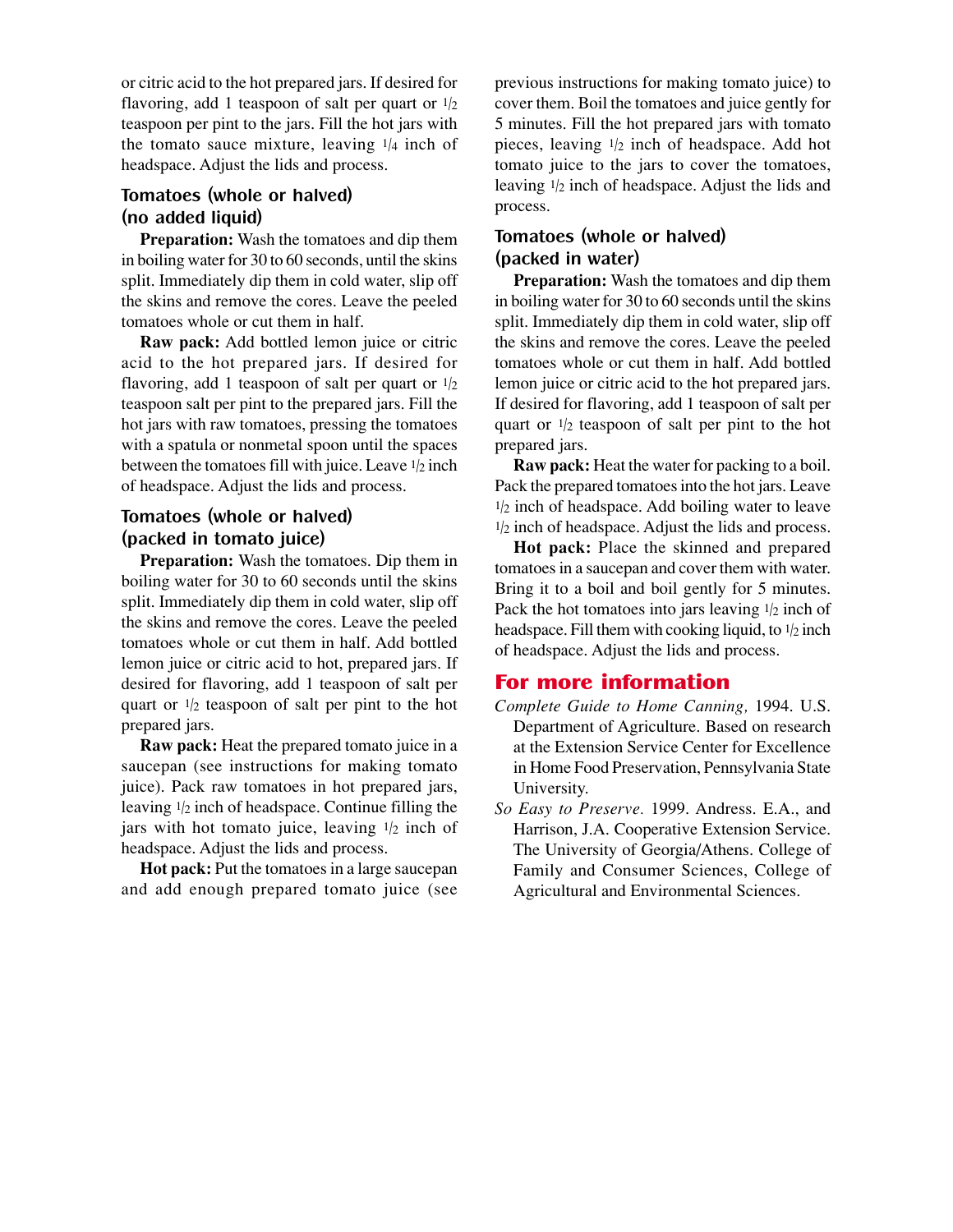or citric acid to the hot prepared jars. If desired for flavoring, add 1 teaspoon of salt per quart or  $1/2$ teaspoon per pint to the jars. Fill the hot jars with the tomato sauce mixture, leaving  $1/4$  inch of headspace. Adjust the lids and process.

## **Tomatoes (whole or halved) (no added liquid)**

**Preparation:** Wash the tomatoes and dip them in boiling water for 30 to 60 seconds, until the skins split. Immediately dip them in cold water, slip off the skins and remove the cores. Leave the peeled tomatoes whole or cut them in half.

**Raw pack:** Add bottled lemon juice or citric acid to the hot prepared jars. If desired for flavoring, add 1 teaspoon of salt per quart or  $1/2$ teaspoon salt per pint to the prepared jars. Fill the hot jars with raw tomatoes, pressing the tomatoes with a spatula or nonmetal spoon until the spaces between the tomatoes fill with juice. Leave  $1/2$  inch of headspace. Adjust the lids and process.

## **Tomatoes (whole or halved) (packed in tomato juice)**

**Preparation:** Wash the tomatoes. Dip them in boiling water for 30 to 60 seconds until the skins split. Immediately dip them in cold water, slip off the skins and remove the cores. Leave the peeled tomatoes whole or cut them in half. Add bottled lemon juice or citric acid to hot, prepared jars. If desired for flavoring, add 1 teaspoon of salt per quart or  $1/2$  teaspoon of salt per pint to the hot prepared jars.

**Raw pack:** Heat the prepared tomato juice in a saucepan (see instructions for making tomato juice). Pack raw tomatoes in hot prepared jars, leaving  $1/2$  inch of headspace. Continue filling the jars with hot tomato juice, leaving  $1/2$  inch of headspace. Adjust the lids and process.

**Hot pack:** Put the tomatoes in a large saucepan and add enough prepared tomato juice (see

previous instructions for making tomato juice) to cover them. Boil the tomatoes and juice gently for 5 minutes. Fill the hot prepared jars with tomato pieces, leaving 1/2 inch of headspace. Add hot tomato juice to the jars to cover the tomatoes, leaving 1/2 inch of headspace. Adjust the lids and process.

## **Tomatoes (whole or halved) (packed in water)**

**Preparation:** Wash the tomatoes and dip them in boiling water for 30 to 60 seconds until the skins split. Immediately dip them in cold water, slip off the skins and remove the cores. Leave the peeled tomatoes whole or cut them in half. Add bottled lemon juice or citric acid to the hot prepared jars. If desired for flavoring, add 1 teaspoon of salt per quart or  $1/2$  teaspoon of salt per pint to the hot prepared jars.

**Raw pack:** Heat the water for packing to a boil. Pack the prepared tomatoes into the hot jars. Leave  $1/2$  inch of headspace. Add boiling water to leave 1/2 inch of headspace. Adjust the lids and process.

**Hot pack:** Place the skinned and prepared tomatoes in a saucepan and cover them with water. Bring it to a boil and boil gently for 5 minutes. Pack the hot tomatoes into jars leaving  $1/2$  inch of headspace. Fill them with cooking liquid, to  $1/2$  inch of headspace. Adjust the lids and process.

## For more information

- *Complete Guide to Home Canning,* 1994. U.S. Department of Agriculture. Based on research at the Extension Service Center for Excellence in Home Food Preservation, Pennsylvania State University.
- *So Easy to Preserve.* 1999. Andress. E.A., and Harrison, J.A. Cooperative Extension Service. The University of Georgia/Athens. College of Family and Consumer Sciences, College of Agricultural and Environmental Sciences.